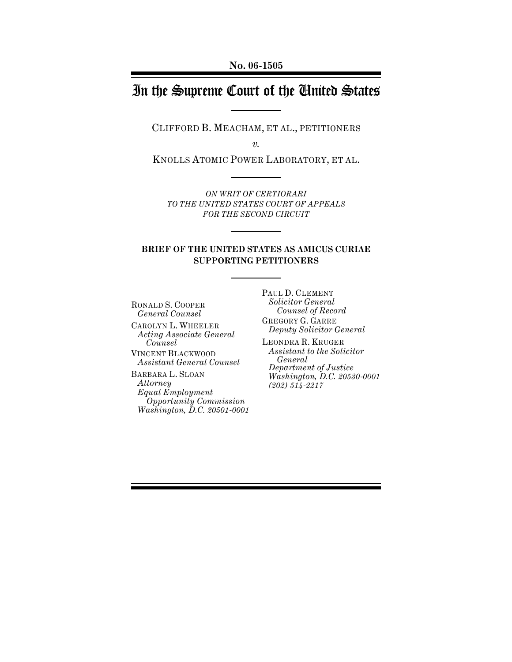**No. 06-1505**

# In the Supreme Court of the United States

CLIFFORD B. MEACHAM, ET AL., PETITIONERS

*v.*

KNOLLS ATOMIC POWER LABORATORY, ET AL.

*ON WRIT OF CERTIORARI TO THE UNITED STATES COURT OF APPEALS FOR THE SECOND CIRCUIT*

### **BRIEF OF THE UNITED STATES AS AMICUS CURIAE SUPPORTING PETITIONERS**

RONALD S. COOPER *General Counsel*

CAROLYN L. WHEELER *Acting Associate General Counsel* VINCENT BLACKWOOD

*Assistant General Counsel*

BARBARA L. SLOAN *Attorney Equal Employment Opportunity Commission Washington, D.C. 20501-0001* PAUL D. CLEMENT *Solicitor General Counsel of Record*

GREGORY G. GARRE *Deputy Solicitor General*

LEONDRA R. KRUGER *Assistant to the Solicitor General Department of Justice Washington, D.C. 20530-0001 (202) 514-2217*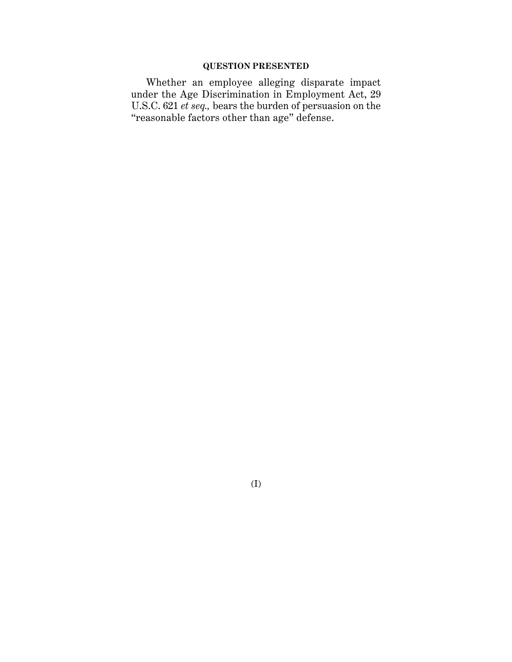## **QUESTION PRESENTED**

Whether an employee alleging disparate impact under the Age Discrimination in Employment Act, 29 U.S.C. 621 *et seq.,* bears the burden of persuasion on the "reasonable factors other than age" defense.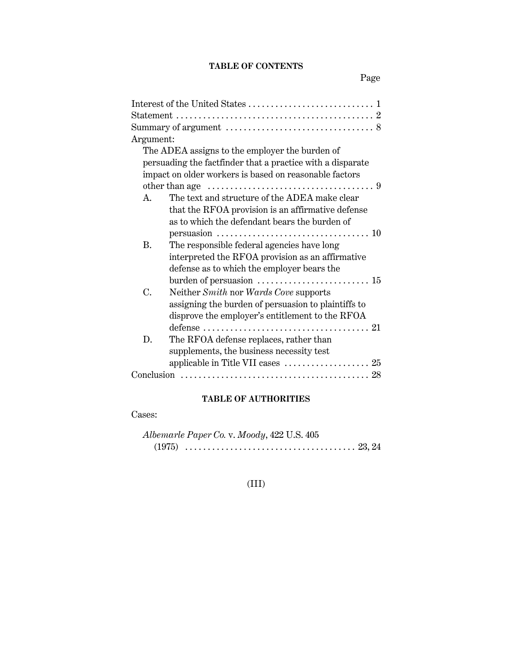## **TABLE OF CONTENTS**

Page

| Argument:                                                                                        |
|--------------------------------------------------------------------------------------------------|
| The ADEA assigns to the employer the burden of                                                   |
| persuading the factfinder that a practice with a disparate                                       |
| impact on older workers is based on reasonable factors                                           |
|                                                                                                  |
| The text and structure of the ADEA make clear<br>$A_{-}$                                         |
| that the RFOA provision is an affirmative defense                                                |
| as to which the defendant bears the burden of                                                    |
| persuasion $\ldots \ldots \ldots \ldots \ldots \ldots \ldots \ldots \ldots \ldots \ldots \ldots$ |
| The responsible federal agencies have long<br>B.                                                 |
| interpreted the RFOA provision as an affirmative                                                 |
| defense as to which the employer bears the                                                       |
|                                                                                                  |
| C.<br>Neither Smith nor Wards Cove supports                                                      |
| assigning the burden of persuasion to plaintiffs to                                              |
| disprove the employer's entitlement to the RFOA                                                  |
|                                                                                                  |
| The RFOA defense replaces, rather than<br>D.                                                     |
| supplements, the business necessity test                                                         |
|                                                                                                  |
|                                                                                                  |

# **TABLE OF AUTHORITIES**

Cases:

|  | Albemarle Paper Co. v. Moody, 422 U.S. 405 |  |
|--|--------------------------------------------|--|
|  |                                            |  |

# (III)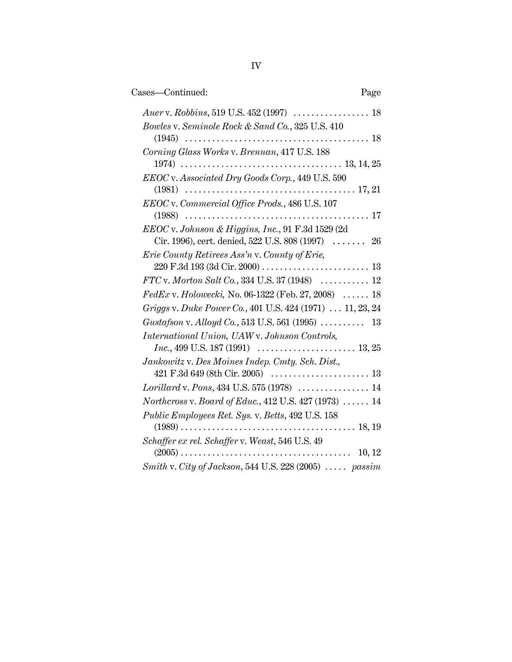| Cases-Continued:<br>Page                                                                                   |
|------------------------------------------------------------------------------------------------------------|
|                                                                                                            |
| Bowles v. Seminole Rock & Sand Co., 325 U.S. 410                                                           |
| Corning Glass Works v. Brennan, 417 U.S. 188                                                               |
| EEOC v. Associated Dry Goods Corp., 449 U.S. 590                                                           |
| EEOC v. Commercial Office Prods., 486 U.S. 107                                                             |
|                                                                                                            |
| EEOC v. Johnson & Higgins, Inc., 91 F.3d 1529 (2d                                                          |
| Cir. 1996), cert. denied, 522 U.S. $808(1997)$ 26                                                          |
| Erie County Retirees Ass'n v. County of Erie,                                                              |
| FTC v. Morton Salt Co., 334 U.S. 37 (1948)  12                                                             |
| $FedEx$ v. Holowecki, No. 06-1322 (Feb. 27, 2008)  18                                                      |
| Griggs v. Duke Power Co., 401 U.S. 424 (1971)  11, 23, 24                                                  |
| Gustafson v. Alloyd Co., 513 U.S. 561 (1995)  13                                                           |
| International Union, UAW v. Johnson Controls,                                                              |
| $Inc., 499 \text{ U.S. } 187 \,(1991) \quad \ldots \ldots \ldots \ldots \ldots \ldots \ldots \quad 13, 25$ |
| Jankowitz v. Des Moines Indep. Cmty. Sch. Dist.,                                                           |
|                                                                                                            |
| Lorillard v. Pons, 434 U.S. 575 (1978)  14                                                                 |
| Northcross v. Board of Educ., 412 U.S. 427 (1973) $\ldots$ . 14                                            |
| Public Employees Ret. Sys. v. Betts, 492 U.S. 158                                                          |
| Schaffer ex rel. Schaffer v. Weast, 546 U.S. 49<br>10, 12                                                  |
| Smith v. City of Jackson, 544 U.S. 228 (2005)  passim                                                      |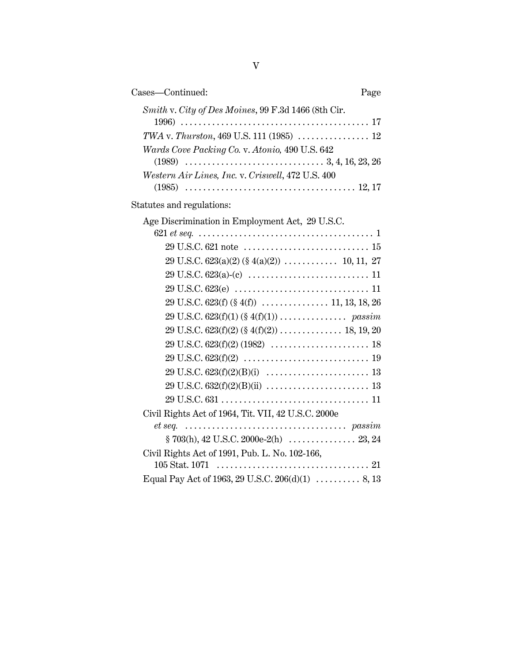| Cases-Continued:<br>Page                                                                                                           |  |
|------------------------------------------------------------------------------------------------------------------------------------|--|
| Smith v. City of Des Moines, 99 F.3d 1466 (8th Cir.                                                                                |  |
|                                                                                                                                    |  |
| Wards Cove Packing Co. v. Atonio, 490 U.S. 642                                                                                     |  |
|                                                                                                                                    |  |
| Western Air Lines, Inc. v. Criswell, 472 U.S. 400                                                                                  |  |
|                                                                                                                                    |  |
| Statutes and regulations:                                                                                                          |  |
| Age Discrimination in Employment Act, 29 U.S.C.                                                                                    |  |
|                                                                                                                                    |  |
|                                                                                                                                    |  |
|                                                                                                                                    |  |
|                                                                                                                                    |  |
|                                                                                                                                    |  |
|                                                                                                                                    |  |
|                                                                                                                                    |  |
|                                                                                                                                    |  |
|                                                                                                                                    |  |
| $29 \text{ U.S.C. } 623 \text{ (f)} \text{ (2)} \ \ldots \ldots \ldots \ldots \ldots \ldots \ldots \ldots \ldots \ldots \ldots 19$ |  |
|                                                                                                                                    |  |
|                                                                                                                                    |  |
|                                                                                                                                    |  |
| Civil Rights Act of 1964, Tit. VII, 42 U.S.C. 2000e                                                                                |  |
|                                                                                                                                    |  |
|                                                                                                                                    |  |
| Civil Rights Act of 1991, Pub. L. No. 102-166,                                                                                     |  |
|                                                                                                                                    |  |
| Equal Pay Act of 1963, 29 U.S.C. 206(d)(1)  8, 13                                                                                  |  |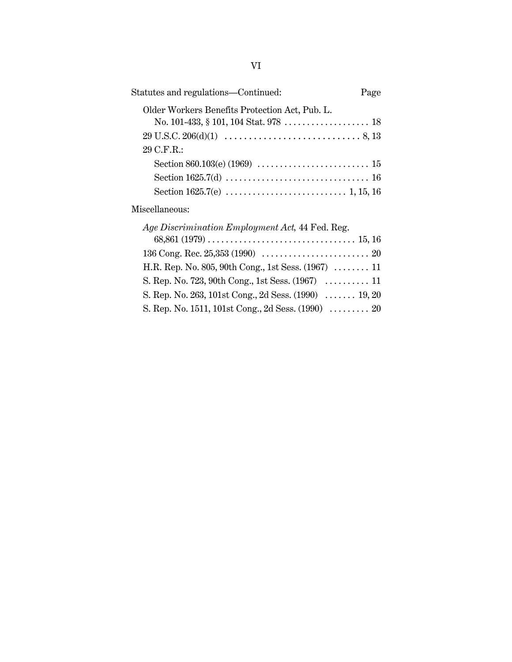| Statutes and regulations—Continued:            | Page |
|------------------------------------------------|------|
| Older Workers Benefits Protection Act, Pub. L. |      |
|                                                |      |
| 29 C.F.R.:                                     |      |
|                                                |      |
|                                                |      |
|                                                |      |
|                                                |      |

# Miscellaneous:

| <i>Age Discrimination Employment Act, 44 Fed. Reg.</i> |
|--------------------------------------------------------|
|                                                        |
|                                                        |
| H.R. Rep. No. 805, 90th Cong., 1st Sess. (1967)  11    |
|                                                        |
| S. Rep. No. 263, 101st Cong., 2d Sess. (1990)  19, 20  |
| S. Rep. No. 1511, 101st Cong., 2d Sess. (1990)  20     |
|                                                        |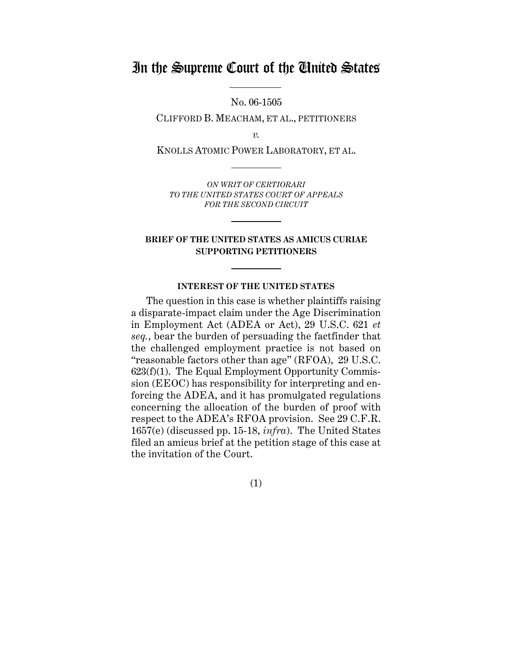# In the Supreme Court of the United States

No. 06-1505

CLIFFORD B. MEACHAM, ET AL., PETITIONERS

*v.*

KNOLLS ATOMIC POWER LABORATORY, ET AL.

*ON WRIT OF CERTIORARI TO THE UNITED STATES COURT OF APPEALS FOR THE SECOND CIRCUIT*

### **BRIEF OF THE UNITED STATES AS AMICUS CURIAE SUPPORTING PETITIONERS**

#### **INTEREST OF THE UNITED STATES**

The question in this case is whether plaintiffs raising a disparate-impact claim under the Age Discrimination in Employment Act (ADEA or Act), 29 U.S.C. 621 *et seq.*, bear the burden of persuading the factfinder that the challenged employment practice is not based on "reasonable factors other than age" (RFOA), 29 U.S.C. 623(f)(1). The Equal Employment Opportunity Commission (EEOC) has responsibility for interpreting and enforcing the ADEA, and it has promulgated regulations concerning the allocation of the burden of proof with respect to the ADEA's RFOA provision. See 29 C.F.R. 1657(e) (discussed pp. 15-18, *infra*). The United States filed an amicus brief at the petition stage of this case at the invitation of the Court.

(1)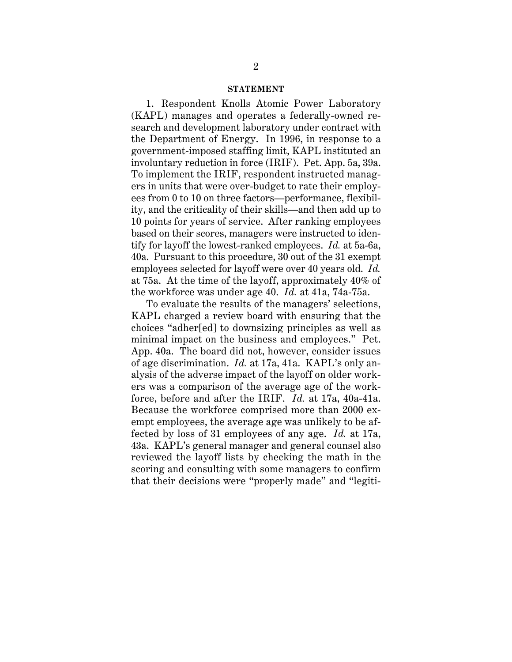#### **STATEMENT**

1. Respondent Knolls Atomic Power Laboratory (KAPL) manages and operates a federally-owned research and development laboratory under contract with the Department of Energy. In 1996, in response to a government-imposed staffing limit, KAPL instituted an involuntary reduction in force (IRIF). Pet. App. 5a, 39a. To implement the IRIF, respondent instructed managers in units that were over-budget to rate their employees from 0 to 10 on three factors—performance, flexibility, and the criticality of their skills—and then add up to 10 points for years of service. After ranking employees based on their scores, managers were instructed to identify for layoff the lowest-ranked employees. *Id.* at 5a-6a, 40a. Pursuant to this procedure, 30 out of the 31 exempt employees selected for layoff were over 40 years old. *Id.* at 75a. At the time of the layoff, approximately 40% of the workforce was under age 40. *Id.* at 41a, 74a-75a.

To evaluate the results of the managers' selections, KAPL charged a review board with ensuring that the choices "adher[ed] to downsizing principles as well as minimal impact on the business and employees." Pet. App. 40a. The board did not, however, consider issues of age discrimination. *Id.* at 17a, 41a. KAPL's only analysis of the adverse impact of the layoff on older workers was a comparison of the average age of the workforce, before and after the IRIF. *Id.* at 17a, 40a-41a. Because the workforce comprised more than 2000 exempt employees, the average age was unlikely to be affected by loss of 31 employees of any age. *Id.* at 17a, 43a. KAPL's general manager and general counsel also reviewed the layoff lists by checking the math in the scoring and consulting with some managers to confirm that their decisions were "properly made" and "legiti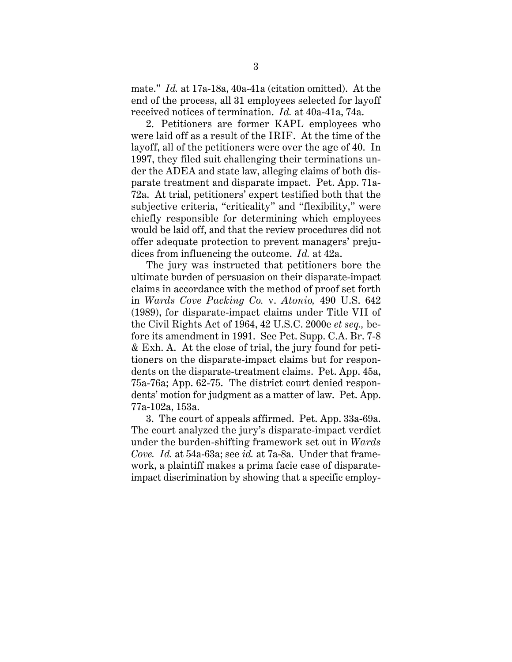mate." *Id.* at 17a-18a, 40a-41a (citation omitted). At the end of the process, all 31 employees selected for layoff received notices of termination. *Id.* at 40a-41a, 74a.

2. Petitioners are former KAPL employees who were laid off as a result of the IRIF. At the time of the layoff, all of the petitioners were over the age of 40. In 1997, they filed suit challenging their terminations under the ADEA and state law, alleging claims of both disparate treatment and disparate impact. Pet. App. 71a-72a. At trial, petitioners' expert testified both that the subjective criteria, "criticality" and "flexibility," were chiefly responsible for determining which employees would be laid off, and that the review procedures did not offer adequate protection to prevent managers' prejudices from influencing the outcome. *Id.* at 42a.

The jury was instructed that petitioners bore the ultimate burden of persuasion on their disparate-impact claims in accordance with the method of proof set forth in *Wards Cove Packing Co.* v. *Atonio,* 490 U.S. 642 (1989), for disparate-impact claims under Title VII of the Civil Rights Act of 1964, 42 U.S.C. 2000e *et seq.,* before its amendment in 1991. See Pet. Supp. C.A. Br. 7-8 & Exh. A. At the close of trial, the jury found for petitioners on the disparate-impact claims but for respondents on the disparate-treatment claims. Pet. App. 45a, 75a-76a; App. 62-75. The district court denied respondents' motion for judgment as a matter of law. Pet. App. 77a-102a, 153a.

3. The court of appeals affirmed. Pet. App. 33a-69a. The court analyzed the jury's disparate-impact verdict under the burden-shifting framework set out in *Wards Cove. Id.* at 54a-63a; see *id.* at 7a-8a. Under that framework, a plaintiff makes a prima facie case of disparateimpact discrimination by showing that a specific employ-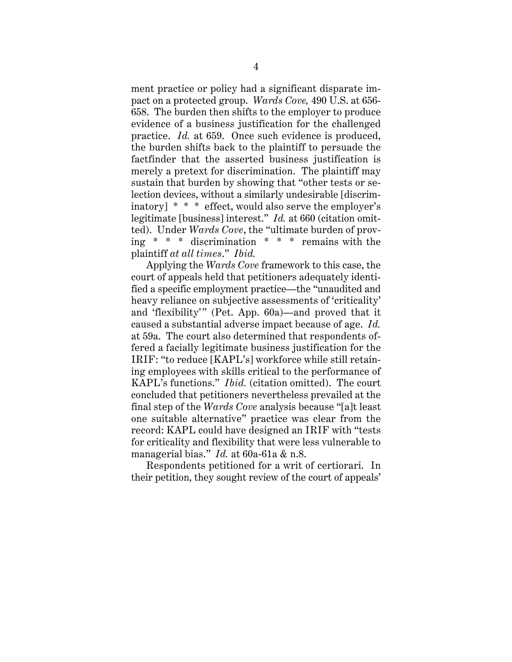ment practice or policy had a significant disparate impact on a protected group. *Wards Cove,* 490 U.S. at 656- 658. The burden then shifts to the employer to produce evidence of a business justification for the challenged practice. *Id.* at 659. Once such evidence is produced, the burden shifts back to the plaintiff to persuade the factfinder that the asserted business justification is merely a pretext for discrimination. The plaintiff may sustain that burden by showing that "other tests or selection devices, without a similarly undesirable [discriminatory] \* \* \* effect, would also serve the employer's legitimate [business] interest." *Id.* at 660 (citation omitted). Under *Wards Cove*, the "ultimate burden of proving \* \* \* discrimination \* \* \* remains with the plaintiff *at all times*." *Ibid.*

Applying the *Wards Cove* framework to this case, the court of appeals held that petitioners adequately identified a specific employment practice—the "unaudited and heavy reliance on subjective assessments of 'criticality' and 'flexibility'" (Pet. App. 60a)—and proved that it caused a substantial adverse impact because of age. *Id.* at 59a. The court also determined that respondents offered a facially legitimate business justification for the IRIF: "to reduce [KAPL's] workforce while still retaining employees with skills critical to the performance of KAPL's functions." *Ibid.* (citation omitted). The court concluded that petitioners nevertheless prevailed at the final step of the *Wards Cove* analysis because "[a]t least one suitable alternative" practice was clear from the record: KAPL could have designed an IRIF with "tests for criticality and flexibility that were less vulnerable to managerial bias." *Id.* at 60a-61a & n.8.

Respondents petitioned for a writ of certiorari. In their petition, they sought review of the court of appeals'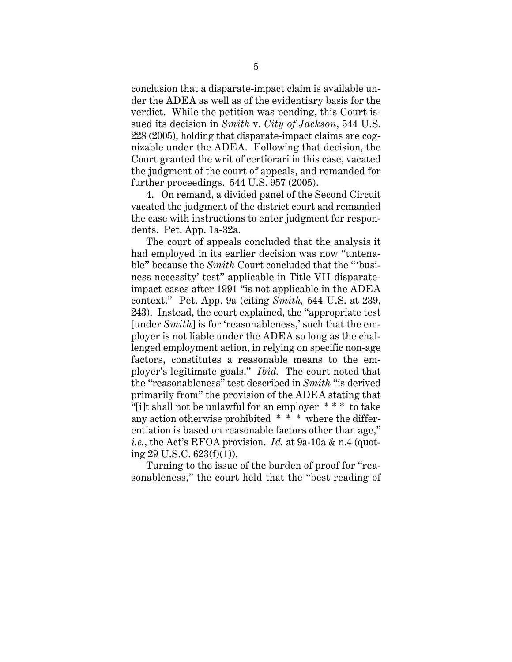conclusion that a disparate-impact claim is available under the ADEA as well as of the evidentiary basis for the verdict. While the petition was pending, this Court issued its decision in *Smith* v. *City of Jackson*, 544 U.S. 228 (2005), holding that disparate-impact claims are cognizable under the ADEA. Following that decision, the Court granted the writ of certiorari in this case, vacated the judgment of the court of appeals, and remanded for further proceedings. 544 U.S. 957 (2005).

4. On remand, a divided panel of the Second Circuit vacated the judgment of the district court and remanded the case with instructions to enter judgment for respondents. Pet. App. 1a-32a.

The court of appeals concluded that the analysis it had employed in its earlier decision was now "untenable" because the *Smith* Court concluded that the "'business necessity' test" applicable in Title VII disparateimpact cases after 1991 "is not applicable in the ADEA context." Pet. App. 9a (citing *Smith,* 544 U.S. at 239, 243). Instead, the court explained, the "appropriate test [under *Smith*] is for 'reasonableness,' such that the employer is not liable under the ADEA so long as the challenged employment action, in relying on specific non-age factors, constitutes a reasonable means to the employer's legitimate goals." *Ibid.* The court noted that the "reasonableness" test described in *Smith* "is derived primarily from" the provision of the ADEA stating that "[i]t shall not be unlawful for an employer \* \* \* to take any action otherwise prohibited \* \* \* where the differentiation is based on reasonable factors other than age," *i.e.*, the Act's RFOA provision. *Id.* at 9a-10a & n.4 (quoting 29 U.S.C. 623(f)(1)).

Turning to the issue of the burden of proof for "reasonableness," the court held that the "best reading of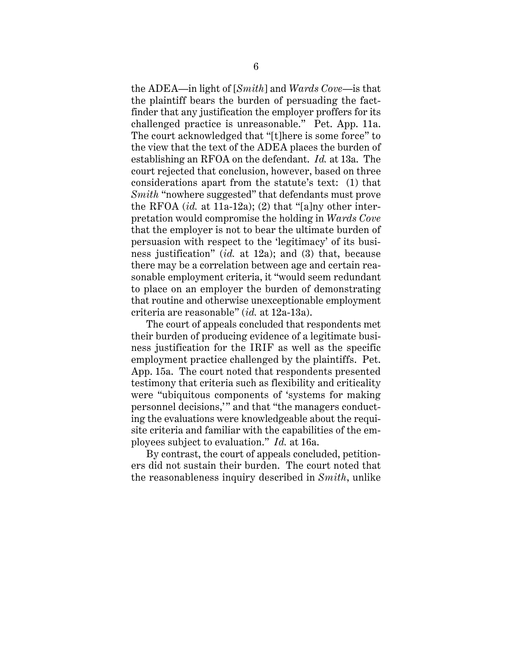the ADEA—in light of [*Smith*] and *Wards Cove*—is that the plaintiff bears the burden of persuading the factfinder that any justification the employer proffers for its challenged practice is unreasonable." Pet. App. 11a. The court acknowledged that "[t]here is some force" to the view that the text of the ADEA places the burden of establishing an RFOA on the defendant. *Id.* at 13a. The court rejected that conclusion, however, based on three considerations apart from the statute's text: (1) that *Smith* "nowhere suggested" that defendants must prove the RFOA (*id.* at 11a-12a); (2) that "[a]ny other interpretation would compromise the holding in *Wards Cove* that the employer is not to bear the ultimate burden of persuasion with respect to the 'legitimacy' of its business justification" (*id.* at 12a); and (3) that, because there may be a correlation between age and certain reasonable employment criteria, it "would seem redundant to place on an employer the burden of demonstrating that routine and otherwise unexceptionable employment criteria are reasonable" (*id.* at 12a-13a).

The court of appeals concluded that respondents met their burden of producing evidence of a legitimate business justification for the IRIF as well as the specific employment practice challenged by the plaintiffs. Pet. App. 15a. The court noted that respondents presented testimony that criteria such as flexibility and criticality were "ubiquitous components of 'systems for making personnel decisions,'" and that "the managers conducting the evaluations were knowledgeable about the requisite criteria and familiar with the capabilities of the employees subject to evaluation." *Id.* at 16a.

By contrast, the court of appeals concluded, petitioners did not sustain their burden. The court noted that the reasonableness inquiry described in *Smith*, unlike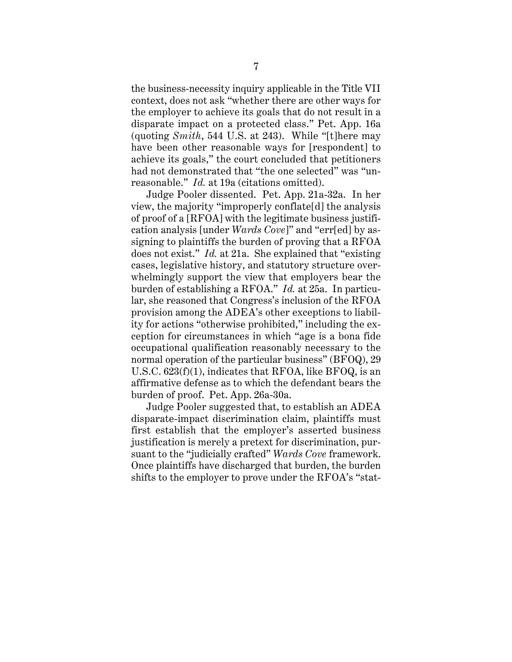the business-necessity inquiry applicable in the Title VII context, does not ask "whether there are other ways for the employer to achieve its goals that do not result in a disparate impact on a protected class." Pet. App. 16a (quoting *Smith*, 544 U.S. at 243). While "[t]here may have been other reasonable ways for [respondent] to achieve its goals," the court concluded that petitioners had not demonstrated that "the one selected" was "unreasonable." *Id.* at 19a (citations omitted).

Judge Pooler dissented. Pet. App. 21a-32a. In her view, the majority "improperly conflate[d] the analysis of proof of a [RFOA] with the legitimate business justification analysis [under *Wards Cove*]" and "err[ed] by assigning to plaintiffs the burden of proving that a RFOA does not exist." *Id.* at 21a. She explained that "existing cases, legislative history, and statutory structure overwhelmingly support the view that employers bear the burden of establishing a RFOA." *Id.* at 25a. In particular, she reasoned that Congress's inclusion of the RFOA provision among the ADEA's other exceptions to liability for actions "otherwise prohibited," including the exception for circumstances in which "age is a bona fide occupational qualification reasonably necessary to the normal operation of the particular business" (BFOQ), 29 U.S.C. 623(f)(1), indicates that RFOA, like BFOQ, is an affirmative defense as to which the defendant bears the burden of proof. Pet. App. 26a-30a.

Judge Pooler suggested that, to establish an ADEA disparate-impact discrimination claim, plaintiffs must first establish that the employer's asserted business justification is merely a pretext for discrimination, pursuant to the "judicially crafted" *Wards Cove* framework. Once plaintiffs have discharged that burden, the burden shifts to the employer to prove under the RFOA's "stat-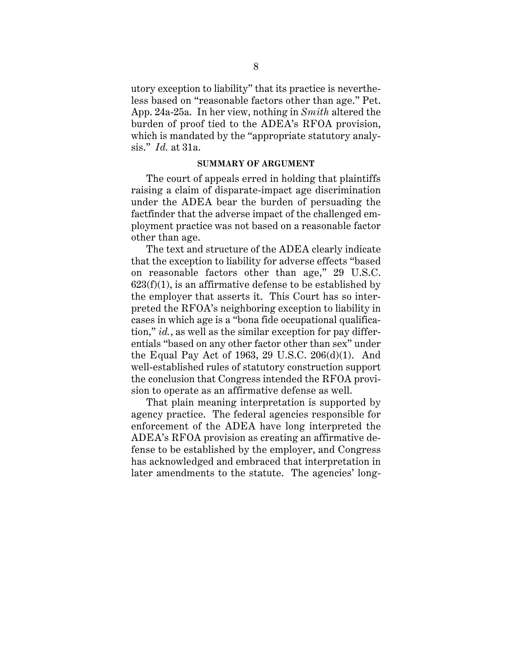utory exception to liability" that its practice is nevertheless based on "reasonable factors other than age." Pet. App. 24a-25a. In her view, nothing in *Smith* altered the burden of proof tied to the ADEA's RFOA provision, which is mandated by the "appropriate statutory analysis." *Id.* at 31a.

#### **SUMMARY OF ARGUMENT**

The court of appeals erred in holding that plaintiffs raising a claim of disparate-impact age discrimination under the ADEA bear the burden of persuading the factfinder that the adverse impact of the challenged employment practice was not based on a reasonable factor other than age.

The text and structure of the ADEA clearly indicate that the exception to liability for adverse effects "based on reasonable factors other than age," 29 U.S.C.  $623(f)(1)$ , is an affirmative defense to be established by the employer that asserts it. This Court has so interpreted the RFOA's neighboring exception to liability in cases in which age is a "bona fide occupational qualification," *id.*, as well as the similar exception for pay differentials "based on any other factor other than sex" under the Equal Pay Act of 1963, 29 U.S.C. 206(d)(1). And well-established rules of statutory construction support the conclusion that Congress intended the RFOA provision to operate as an affirmative defense as well.

That plain meaning interpretation is supported by agency practice. The federal agencies responsible for enforcement of the ADEA have long interpreted the ADEA's RFOA provision as creating an affirmative defense to be established by the employer, and Congress has acknowledged and embraced that interpretation in later amendments to the statute. The agencies' long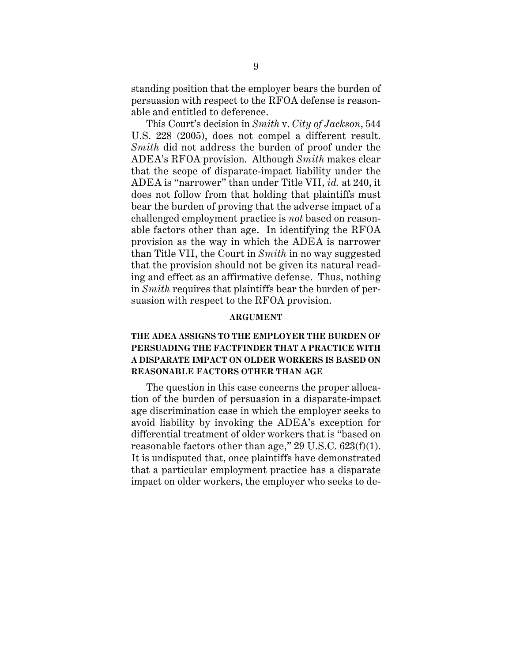standing position that the employer bears the burden of persuasion with respect to the RFOA defense is reasonable and entitled to deference.

This Court's decision in *Smith* v. *City of Jackson*, 544 U.S. 228 (2005), does not compel a different result. *Smith* did not address the burden of proof under the ADEA's RFOA provision. Although *Smith* makes clear that the scope of disparate-impact liability under the ADEA is "narrower" than under Title VII, *id.* at 240, it does not follow from that holding that plaintiffs must bear the burden of proving that the adverse impact of a challenged employment practice is *not* based on reasonable factors other than age. In identifying the RFOA provision as the way in which the ADEA is narrower than Title VII, the Court in *Smith* in no way suggested that the provision should not be given its natural reading and effect as an affirmative defense. Thus, nothing in *Smith* requires that plaintiffs bear the burden of persuasion with respect to the RFOA provision.

#### **ARGUMENT**

### **THE ADEA ASSIGNS TO THE EMPLOYER THE BURDEN OF PERSUADING THE FACTFINDER THAT A PRACTICE WITH A DISPARATE IMPACT ON OLDER WORKERS IS BASED ON REASONABLE FACTORS OTHER THAN AGE**

The question in this case concerns the proper allocation of the burden of persuasion in a disparate-impact age discrimination case in which the employer seeks to avoid liability by invoking the ADEA's exception for differential treatment of older workers that is "based on reasonable factors other than age," 29 U.S.C. 623(f)(1). It is undisputed that, once plaintiffs have demonstrated that a particular employment practice has a disparate impact on older workers, the employer who seeks to de-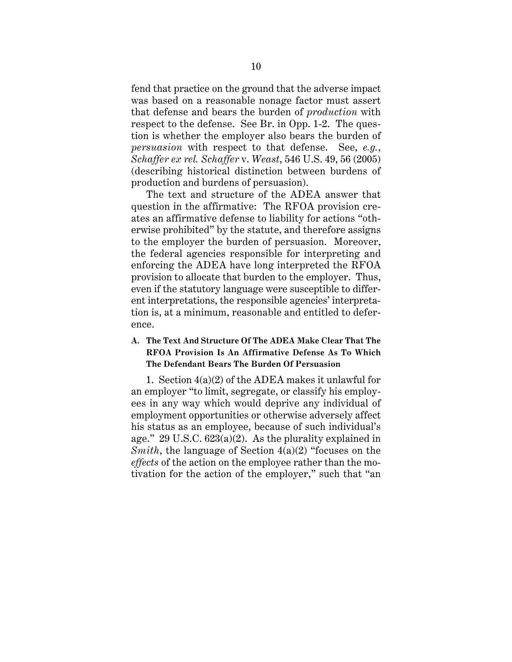fend that practice on the ground that the adverse impact was based on a reasonable nonage factor must assert that defense and bears the burden of *production* with respect to the defense. See Br. in Opp. 1-2. The question is whether the employer also bears the burden of *persuasion* with respect to that defense. See, *e.g.*, *Schaffer ex rel. Schaffer* v. *Weast*, 546 U.S. 49, 56 (2005) (describing historical distinction between burdens of production and burdens of persuasion).

The text and structure of the ADEA answer that question in the affirmative: The RFOA provision creates an affirmative defense to liability for actions "otherwise prohibited" by the statute, and therefore assigns to the employer the burden of persuasion. Moreover, the federal agencies responsible for interpreting and enforcing the ADEA have long interpreted the RFOA provision to allocate that burden to the employer. Thus, even if the statutory language were susceptible to different interpretations, the responsible agencies' interpretation is, at a minimum, reasonable and entitled to deference.

### **A. The Text And Structure Of The ADEA Make Clear That The RFOA Provision Is An Affirmative Defense As To Which The Defendant Bears The Burden Of Persuasion**

1. Section 4(a)(2) of the ADEA makes it unlawful for an employer "to limit, segregate, or classify his employees in any way which would deprive any individual of employment opportunities or otherwise adversely affect his status as an employee, because of such individual's age." 29 U.S.C. 623(a)(2). As the plurality explained in *Smith*, the language of Section 4(a)(2) "focuses on the *effects* of the action on the employee rather than the motivation for the action of the employer," such that "an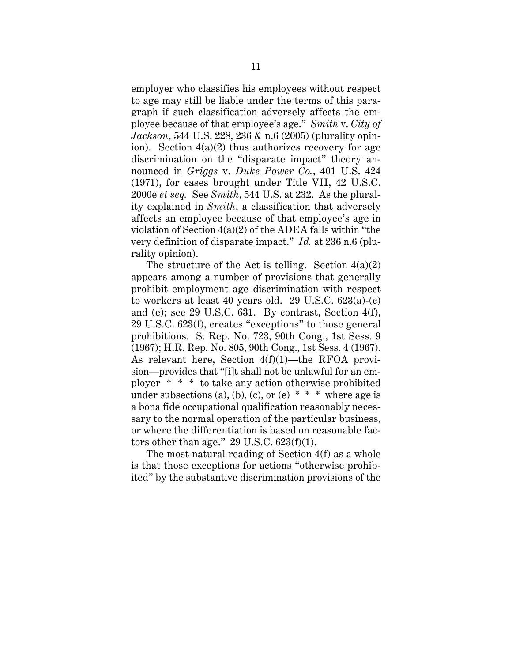employer who classifies his employees without respect to age may still be liable under the terms of this paragraph if such classification adversely affects the employee because of that employee's age." *Smith* v. *City of Jackson*, 544 U.S. 228, 236 & n.6 (2005) (plurality opinion). Section  $4(a)(2)$  thus authorizes recovery for age discrimination on the "disparate impact" theory announced in *Griggs* v. *Duke Power Co.*, 401 U.S. 424 (1971), for cases brought under Title VII, 42 U.S.C. 2000e *et seq.* See *Smith*, 544 U.S. at 232. As the plurality explained in *Smith*, a classification that adversely affects an employee because of that employee's age in violation of Section 4(a)(2) of the ADEA falls within "the very definition of disparate impact." *Id.* at 236 n.6 (plurality opinion).

The structure of the Act is telling. Section  $4(a)(2)$ appears among a number of provisions that generally prohibit employment age discrimination with respect to workers at least 40 years old. 29 U.S.C. 623(a)-(c) and (e); see 29 U.S.C. 631. By contrast, Section 4(f), 29 U.S.C. 623(f), creates "exceptions" to those general prohibitions. S. Rep. No. 723, 90th Cong., 1st Sess. 9 (1967); H.R. Rep. No. 805, 90th Cong., 1st Sess. 4 (1967). As relevant here, Section 4(f)(1)—the RFOA provision—provides that "[i]t shall not be unlawful for an employer \* \* \* to take any action otherwise prohibited under subsections (a), (b), (c), or (e)  $* * *$  where age is a bona fide occupational qualification reasonably necessary to the normal operation of the particular business, or where the differentiation is based on reasonable factors other than age."  $29 \text{ U.S.C. } 623 \text{ (f)}(1)$ .

The most natural reading of Section 4(f) as a whole is that those exceptions for actions "otherwise prohibited" by the substantive discrimination provisions of the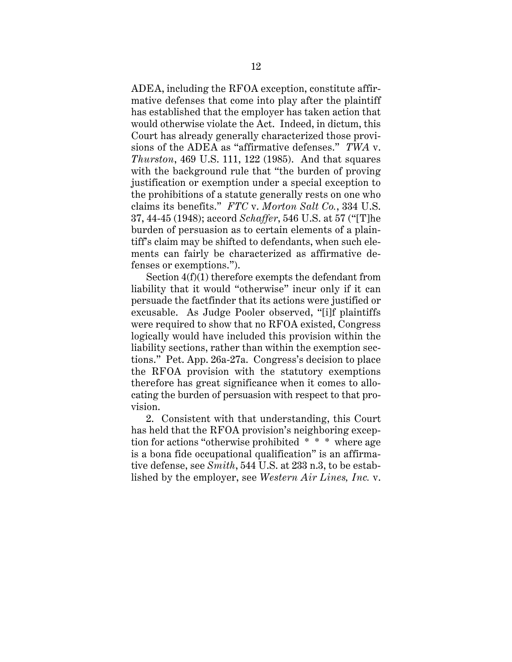ADEA, including the RFOA exception, constitute affirmative defenses that come into play after the plaintiff has established that the employer has taken action that would otherwise violate the Act. Indeed, in dictum, this Court has already generally characterized those provisions of the ADEA as "affirmative defenses." *TWA* v. *Thurston*, 469 U.S. 111, 122 (1985). And that squares with the background rule that "the burden of proving justification or exemption under a special exception to the prohibitions of a statute generally rests on one who claims its benefits." *FTC* v. *Morton Salt Co.*, 334 U.S. 37, 44-45 (1948); accord *Schaffer*, 546 U.S. at 57 ("[T]he burden of persuasion as to certain elements of a plaintiff's claim may be shifted to defendants, when such elements can fairly be characterized as affirmative defenses or exemptions.").

Section 4(f)(1) therefore exempts the defendant from liability that it would "otherwise" incur only if it can persuade the factfinder that its actions were justified or excusable. As Judge Pooler observed, "[i]f plaintiffs were required to show that no RFOA existed, Congress logically would have included this provision within the liability sections, rather than within the exemption sections." Pet. App. 26a-27a. Congress's decision to place the RFOA provision with the statutory exemptions therefore has great significance when it comes to allocating the burden of persuasion with respect to that provision.

2. Consistent with that understanding, this Court has held that the RFOA provision's neighboring exception for actions "otherwise prohibited \* \* \* where age is a bona fide occupational qualification" is an affirmative defense, see *Smith*, 544 U.S. at 233 n.3, to be established by the employer, see *Western Air Lines, Inc.* v.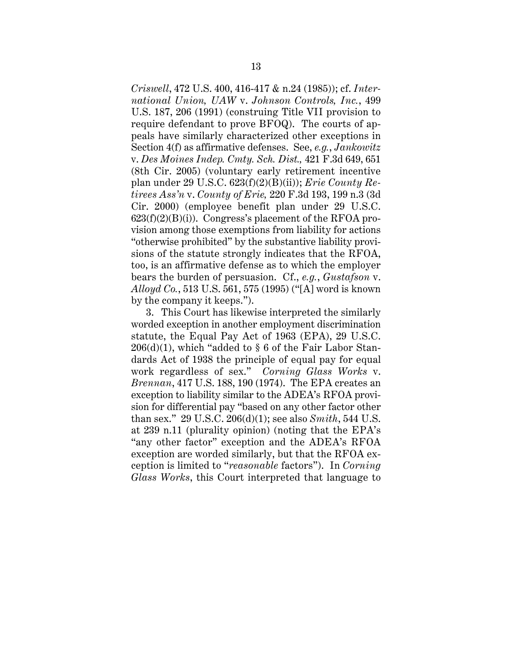*Criswell*, 472 U.S. 400, 416-417 & n.24 (1985)); cf. *International Union, UAW* v. *Johnson Controls, Inc.*, 499 U.S. 187, 206 (1991) (construing Title VII provision to require defendant to prove BFOQ). The courts of appeals have similarly characterized other exceptions in Section 4(f) as affirmative defenses. See, *e.g.*, *Jankowitz* v. *Des Moines Indep. Cmty. Sch. Dist.,* 421 F.3d 649, 651 (8th Cir. 2005) (voluntary early retirement incentive plan under 29 U.S.C. 623(f)(2)(B)(ii)); *Erie County Retirees Ass'n* v. *County of Erie,* 220 F.3d 193, 199 n.3 (3d Cir. 2000) (employee benefit plan under 29 U.S.C.  $623(f)(2)(B)(i)$ . Congress's placement of the RFOA provision among those exemptions from liability for actions "otherwise prohibited" by the substantive liability provisions of the statute strongly indicates that the RFOA, too, is an affirmative defense as to which the employer bears the burden of persuasion. Cf., *e.g.*, *Gustafson* v. *Alloyd Co.*, 513 U.S. 561, 575 (1995) ("[A] word is known by the company it keeps.").

3. This Court has likewise interpreted the similarly worded exception in another employment discrimination statute, the Equal Pay Act of 1963 (EPA), 29 U.S.C.  $206(d)(1)$ , which "added to § 6 of the Fair Labor Standards Act of 1938 the principle of equal pay for equal work regardless of sex." *Corning Glass Works* v. *Brennan*, 417 U.S. 188, 190 (1974). The EPA creates an exception to liability similar to the ADEA's RFOA provision for differential pay "based on any other factor other than sex." 29 U.S.C. 206(d)(1); see also *Smith*, 544 U.S. at 239 n.11 (plurality opinion) (noting that the EPA's "any other factor" exception and the ADEA's RFOA exception are worded similarly, but that the RFOA exception is limited to "*reasonable* factors"). In *Corning Glass Works*, this Court interpreted that language to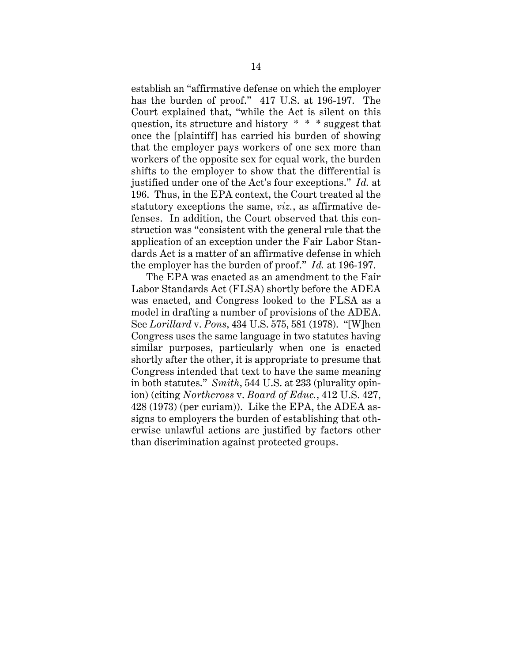establish an "affirmative defense on which the employer has the burden of proof." 417 U.S. at 196-197. The Court explained that, "while the Act is silent on this question, its structure and history \* \* \* suggest that once the [plaintiff] has carried his burden of showing that the employer pays workers of one sex more than workers of the opposite sex for equal work, the burden shifts to the employer to show that the differential is justified under one of the Act's four exceptions." *Id.* at 196. Thus, in the EPA context, the Court treated al the statutory exceptions the same, *viz.*, as affirmative defenses. In addition, the Court observed that this construction was "consistent with the general rule that the application of an exception under the Fair Labor Standards Act is a matter of an affirmative defense in which the employer has the burden of proof." *Id.* at 196-197.

The EPA was enacted as an amendment to the Fair Labor Standards Act (FLSA) shortly before the ADEA was enacted, and Congress looked to the FLSA as a model in drafting a number of provisions of the ADEA. See *Lorillard* v. *Pons*, 434 U.S. 575, 581 (1978). "[W]hen Congress uses the same language in two statutes having similar purposes, particularly when one is enacted shortly after the other, it is appropriate to presume that Congress intended that text to have the same meaning in both statutes." *Smith*, 544 U.S. at 233 (plurality opinion) (citing *Northcross* v. *Board of Educ.*, 412 U.S. 427, 428 (1973) (per curiam)). Like the EPA, the ADEA assigns to employers the burden of establishing that otherwise unlawful actions are justified by factors other than discrimination against protected groups.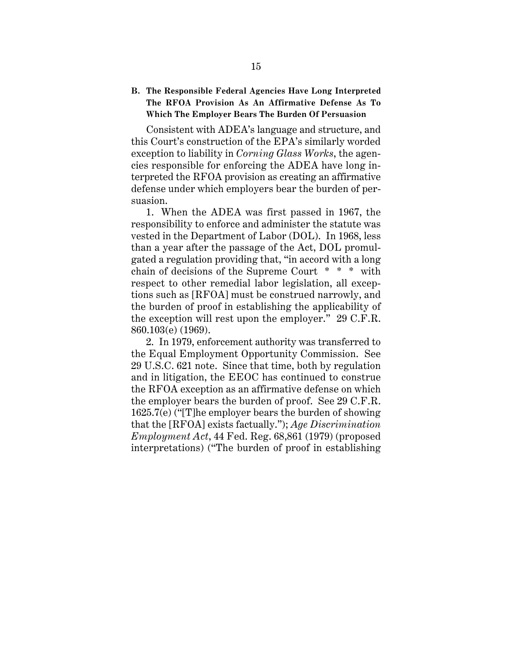### **B. The Responsible Federal Agencies Have Long Interpreted The RFOA Provision As An Affirmative Defense As To Which The Employer Bears The Burden Of Persuasion**

Consistent with ADEA's language and structure, and this Court's construction of the EPA's similarly worded exception to liability in *Corning Glass Works*, the agencies responsible for enforcing the ADEA have long interpreted the RFOA provision as creating an affirmative defense under which employers bear the burden of persuasion.

1. When the ADEA was first passed in 1967, the responsibility to enforce and administer the statute was vested in the Department of Labor (DOL). In 1968, less than a year after the passage of the Act, DOL promulgated a regulation providing that, "in accord with a long chain of decisions of the Supreme Court \* \* \* with respect to other remedial labor legislation, all exceptions such as [RFOA] must be construed narrowly, and the burden of proof in establishing the applicability of the exception will rest upon the employer." 29 C.F.R. 860.103(e) (1969).

2. In 1979, enforcement authority was transferred to the Equal Employment Opportunity Commission. See 29 U.S.C. 621 note. Since that time, both by regulation and in litigation, the EEOC has continued to construe the RFOA exception as an affirmative defense on which the employer bears the burden of proof.See 29 C.F.R. 1625.7(e) ("[T]he employer bears the burden of showing that the [RFOA] exists factually."); *Age Discrimination Employment Act*, 44 Fed. Reg. 68,861 (1979) (proposed interpretations) ("The burden of proof in establishing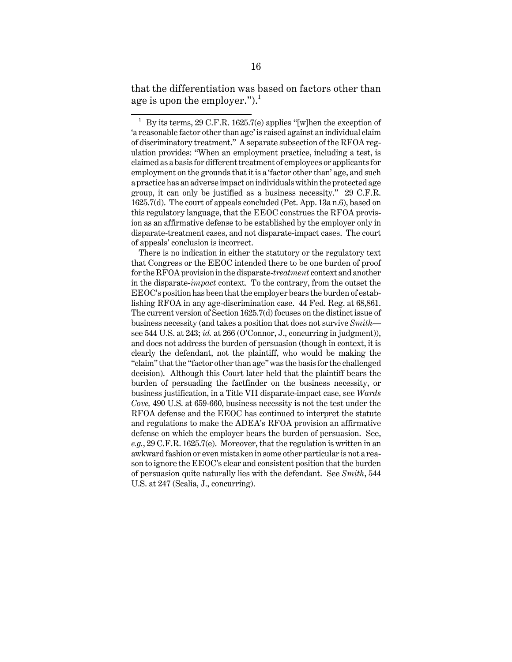that the differentiation was based on factors other than age is upon the employer.").<sup>1</sup>

There is no indication in either the statutory or the regulatory text that Congress or the EEOC intended there to be one burden of proof for the RFOA provision in the disparate-*treatment* context and another in the disparate-*impact* context. To the contrary, from the outset the EEOC's position has been that the employer bears the burden of establishing RFOA in any age-discrimination case. 44 Fed. Reg. at 68,861. The current version of Section 1625.7(d) focuses on the distinct issue of business necessity (and takes a position that does not survive *Smith* see 544 U.S. at 243; *id.* at 266 (O'Connor, J., concurring in judgment)), and does not address the burden of persuasion (though in context, it is clearly the defendant, not the plaintiff, who would be making the "claim" that the "factor other than age" was the basis for the challenged decision). Although this Court later held that the plaintiff bears the burden of persuading the factfinder on the business necessity, or business justification, in a Title VII disparate-impact case, see *Wards Cove,* 490 U.S. at 659-660, business necessity is not the test under the RFOA defense and the EEOC has continued to interpret the statute and regulations to make the ADEA's RFOA provision an affirmative defense on which the employer bears the burden of persuasion. See, *e.g.*, 29 C.F.R. 1625.7(e). Moreover, that the regulation is written in an awkward fashion or even mistaken in some other particular is not a reason to ignore the EEOC's clear and consistent position that the burden of persuasion quite naturally lies with the defendant. See *Smith*, 544 U.S. at 247 (Scalia, J., concurring).

<sup>1</sup> By its terms, 29 C.F.R. 1625.7(e) applies "[w]hen the exception of 'a reasonable factor other than age' is raised against an individual claim of discriminatory treatment." A separate subsection of the RFOA regulation provides: "When an employment practice, including a test, is claimed as a basis for different treatment of employees or applicants for employment on the grounds that it is a 'factor other than' age, and such a practice has an adverse impact on individuals within the protected age group, it can only be justified as a business necessity." 29 C.F.R. 1625.7(d). The court of appeals concluded (Pet. App. 13a n.6), based on this regulatory language, that the EEOC construes the RFOA provision as an affirmative defense to be established by the employer only in disparate-treatment cases, and not disparate-impact cases. The court of appeals' conclusion is incorrect.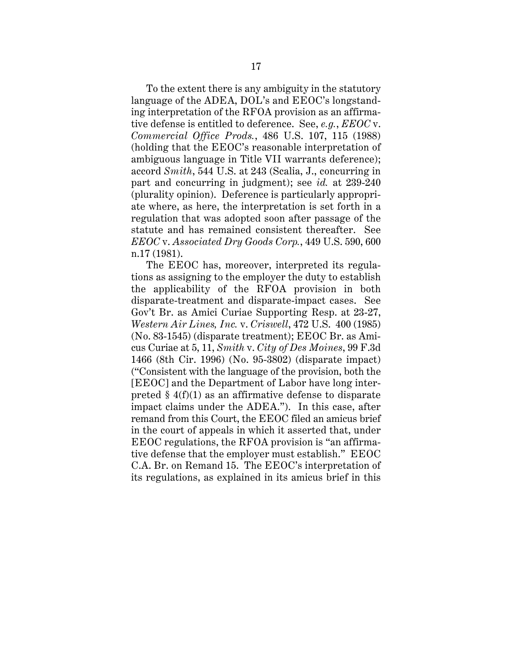To the extent there is any ambiguity in the statutory language of the ADEA, DOL's and EEOC's longstanding interpretation of the RFOA provision as an affirmative defense is entitled to deference. See, *e.g.*, *EEOC* v. *Commercial Office Prods.*, 486 U.S. 107, 115 (1988) (holding that the EEOC's reasonable interpretation of ambiguous language in Title VII warrants deference); accord *Smith*, 544 U.S. at 243 (Scalia, J., concurring in part and concurring in judgment); see *id.* at 239-240 (plurality opinion). Deference is particularly appropriate where, as here, the interpretation is set forth in a regulation that was adopted soon after passage of the statute and has remained consistent thereafter. See *EEOC* v. *Associated Dry Goods Corp.*, 449 U.S. 590, 600 n.17 (1981).

The EEOC has, moreover, interpreted its regulations as assigning to the employer the duty to establish the applicability of the RFOA provision in both disparate-treatment and disparate-impact cases. See Gov't Br. as Amici Curiae Supporting Resp. at 23-27, *Western Air Lines, Inc.* v. *Criswell*, 472 U.S. 400 (1985) (No. 83-1545) (disparate treatment); EEOC Br. as Amicus Curiae at 5, 11, *Smith* v. *City of Des Moines*, 99 F.3d 1466 (8th Cir. 1996) (No. 95-3802) (disparate impact) ("Consistent with the language of the provision, both the [EEOC] and the Department of Labor have long interpreted  $\S 4(f)(1)$  as an affirmative defense to disparate impact claims under the ADEA."). In this case, after remand from this Court, the EEOC filed an amicus brief in the court of appeals in which it asserted that, under EEOC regulations, the RFOA provision is "an affirmative defense that the employer must establish." EEOC C.A. Br. on Remand 15. The EEOC's interpretation of its regulations, as explained in its amicus brief in this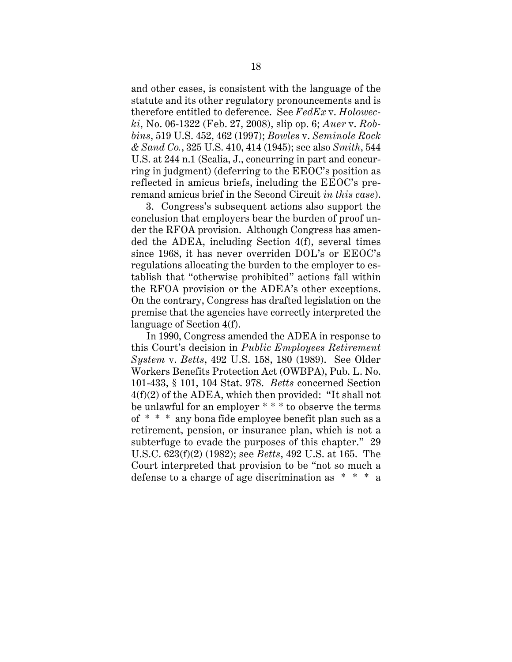and other cases, is consistent with the language of the statute and its other regulatory pronouncements and is therefore entitled to deference. See *FedEx* v. *Holowecki*, No. 06-1322 (Feb. 27, 2008), slip op. 6; *Auer* v. *Robbins*, 519 U.S. 452, 462 (1997); *Bowles* v. *Seminole Rock & Sand Co.*, 325 U.S. 410, 414 (1945); see also *Smith*, 544 U.S. at 244 n.1 (Scalia, J., concurring in part and concurring in judgment) (deferring to the EEOC's position as reflected in amicus briefs, including the EEOC's preremand amicus brief in the Second Circuit *in this case*).

3. Congress's subsequent actions also support the conclusion that employers bear the burden of proof under the RFOA provision. Although Congress has amended the ADEA, including Section 4(f), several times since 1968, it has never overriden DOL's or EEOC's regulations allocating the burden to the employer to establish that "otherwise prohibited" actions fall within the RFOA provision or the ADEA's other exceptions. On the contrary, Congress has drafted legislation on the premise that the agencies have correctly interpreted the language of Section 4(f).

In 1990, Congress amended the ADEA in response to this Court's decision in *Public Employees Retirement System* v. *Betts*, 492 U.S. 158, 180 (1989). See Older Workers Benefits Protection Act (OWBPA), Pub. L. No. 101-433, § 101, 104 Stat. 978. *Betts* concerned Section 4(f)(2) of the ADEA, which then provided: "It shall not be unlawful for an employer \* \* \* to observe the terms of \* \* \* any bona fide employee benefit plan such as a retirement, pension, or insurance plan, which is not a subterfuge to evade the purposes of this chapter." 29 U.S.C. 623(f)(2) (1982); see *Betts*, 492 U.S. at 165. The Court interpreted that provision to be "not so much a defense to a charge of age discrimination as \* \* \* a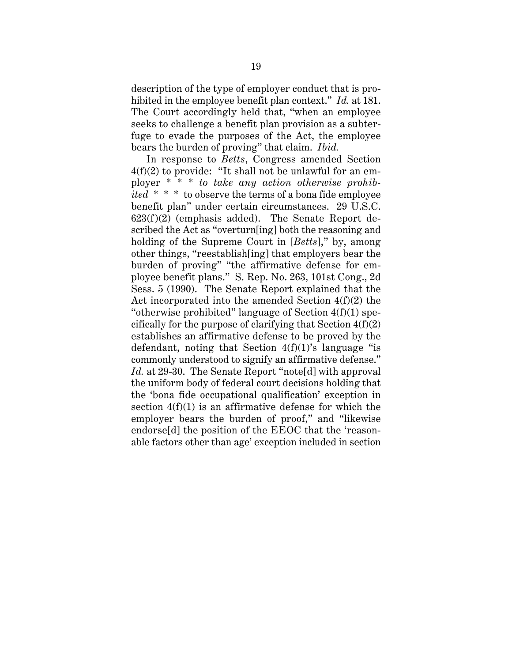description of the type of employer conduct that is prohibited in the employee benefit plan context." *Id.* at 181. The Court accordingly held that, "when an employee seeks to challenge a benefit plan provision as a subterfuge to evade the purposes of the Act, the employee bears the burden of proving" that claim. *Ibid.*

In response to *Betts*, Congress amended Section 4(f)(2) to provide: "It shall not be unlawful for an employer \* \* \* *to take any action otherwise prohibited* \* \* \* to observe the terms of a bona fide employee benefit plan" under certain circumstances. 29 U.S.C.  $623(f)(2)$  (emphasis added). The Senate Report described the Act as "overturn[ing] both the reasoning and holding of the Supreme Court in [*Betts*]," by, among other things, "reestablish[ing] that employers bear the burden of proving" "the affirmative defense for employee benefit plans." S. Rep. No. 263, 101st Cong., 2d Sess. 5 (1990). The Senate Report explained that the Act incorporated into the amended Section 4(f)(2) the "otherwise prohibited" language of Section 4(f)(1) specifically for the purpose of clarifying that Section  $4(f)(2)$ establishes an affirmative defense to be proved by the defendant, noting that Section  $4(f)(1)$ 's language "is commonly understood to signify an affirmative defense." *Id.* at 29-30. The Senate Report "note[d] with approval the uniform body of federal court decisions holding that the 'bona fide occupational qualification' exception in section  $4(f)(1)$  is an affirmative defense for which the employer bears the burden of proof," and "likewise endorse[d] the position of the EEOC that the 'reasonable factors other than age' exception included in section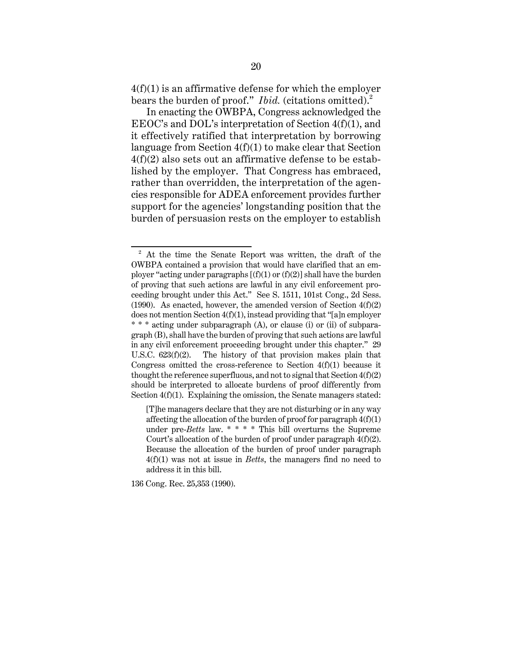$4(f)(1)$  is an affirmative defense for which the employer bears the burden of proof." *Ibid.* (citations omitted).<sup>2</sup>

In enacting the OWBPA, Congress acknowledged the EEOC's and DOL's interpretation of Section 4(f)(1), and it effectively ratified that interpretation by borrowing language from Section 4(f)(1) to make clear that Section 4(f)(2) also sets out an affirmative defense to be established by the employer. That Congress has embraced, rather than overridden, the interpretation of the agencies responsible for ADEA enforcement provides further support for the agencies' longstanding position that the burden of persuasion rests on the employer to establish

136 Cong. Rec. 25,353 (1990).

<sup>&</sup>lt;sup>2</sup> At the time the Senate Report was written, the draft of the OWBPA contained a provision that would have clarified that an employer "acting under paragraphs  $[(f)(1)$  or  $(f)(2)]$  shall have the burden of proving that such actions are lawful in any civil enforcement proceeding brought under this Act." See S. 1511, 101st Cong., 2d Sess. (1990). As enacted, however, the amended version of Section  $4(f)(2)$ does not mention Section 4(f)(1), instead providing that "[a]n employer \* \* \* acting under subparagraph (A), or clause (i) or (ii) of subparagraph (B), shall have the burden of proving that such actions are lawful in any civil enforcement proceeding brought under this chapter." 29 U.S.C. 623(f)(2). The history of that provision makes plain that Congress omitted the cross-reference to Section  $4(f)(1)$  because it thought the reference superfluous, and not to signal that Section  $4(f)(2)$ should be interpreted to allocate burdens of proof differently from Section  $4(f)(1)$ . Explaining the omission, the Senate managers stated:

<sup>[</sup>T]he managers declare that they are not disturbing or in any way affecting the allocation of the burden of proof for paragraph  $4(f)(1)$ under pre-*Betts* law. \* \* \* \* This bill overturns the Supreme Court's allocation of the burden of proof under paragraph 4(f)(2). Because the allocation of the burden of proof under paragraph 4(f)(1) was not at issue in *Betts*, the managers find no need to address it in this bill.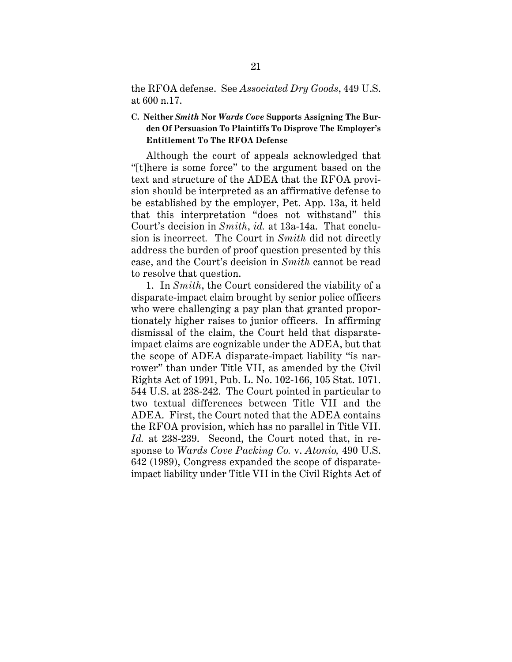the RFOA defense. See *Associated Dry Goods*, 449 U.S. at 600 n.17.

### **C. Neither** *Smith* **Nor** *Wards Cove* **Supports Assigning The Burden Of Persuasion To Plaintiffs To Disprove The Employer's Entitlement To The RFOA Defense**

Although the court of appeals acknowledged that "[t]here is some force" to the argument based on the text and structure of the ADEA that the RFOA provision should be interpreted as an affirmative defense to be established by the employer, Pet. App. 13a, it held that this interpretation "does not withstand" this Court's decision in *Smith*, *id.* at 13a-14a. That conclusion is incorrect*.* The Court in *Smith* did not directly address the burden of proof question presented by this case, and the Court's decision in *Smith* cannot be read to resolve that question.

1. In *Smith*, the Court considered the viability of a disparate-impact claim brought by senior police officers who were challenging a pay plan that granted proportionately higher raises to junior officers. In affirming dismissal of the claim, the Court held that disparateimpact claims are cognizable under the ADEA, but that the scope of ADEA disparate-impact liability "is narrower" than under Title VII, as amended by the Civil Rights Act of 1991, Pub. L. No. 102-166, 105 Stat. 1071. 544 U.S. at 238-242. The Court pointed in particular to two textual differences between Title VII and the ADEA. First, the Court noted that the ADEA contains the RFOA provision, which has no parallel in Title VII. *Id.* at 238-239. Second, the Court noted that, in response to *Wards Cove Packing Co.* v. *Atonio,* 490 U.S. 642 (1989), Congress expanded the scope of disparateimpact liability under Title VII in the Civil Rights Act of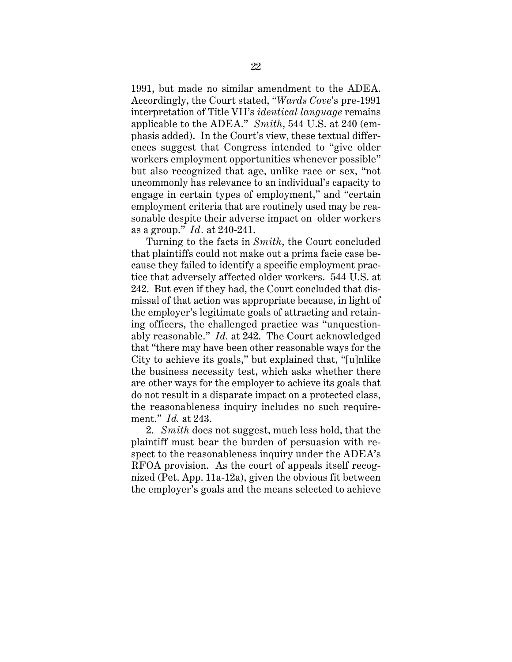1991, but made no similar amendment to the ADEA. Accordingly, the Court stated, "*Wards Cove*'s pre-1991 interpretation of Title VII's *identical language* remains applicable to the ADEA." *Smith*, 544 U.S. at 240 (emphasis added). In the Court's view, these textual differences suggest that Congress intended to "give older workers employment opportunities whenever possible" but also recognized that age, unlike race or sex, "not uncommonly has relevance to an individual's capacity to engage in certain types of employment," and "certain employment criteria that are routinely used may be reasonable despite their adverse impact on older workers as a group." *Id.* at 240-241.

Turning to the facts in *Smith*, the Court concluded that plaintiffs could not make out a prima facie case because they failed to identify a specific employment practice that adversely affected older workers. 544 U.S. at 242. But even if they had, the Court concluded that dismissal of that action was appropriate because, in light of the employer's legitimate goals of attracting and retaining officers, the challenged practice was "unquestionably reasonable." *Id.* at 242. The Court acknowledged that "there may have been other reasonable ways for the City to achieve its goals," but explained that, "[u]nlike the business necessity test, which asks whether there are other ways for the employer to achieve its goals that do not result in a disparate impact on a protected class, the reasonableness inquiry includes no such requirement." *Id.* at 243.

2. *Smith* does not suggest, much less hold, that the plaintiff must bear the burden of persuasion with respect to the reasonableness inquiry under the ADEA's RFOA provision. As the court of appeals itself recognized (Pet. App. 11a-12a), given the obvious fit between the employer's goals and the means selected to achieve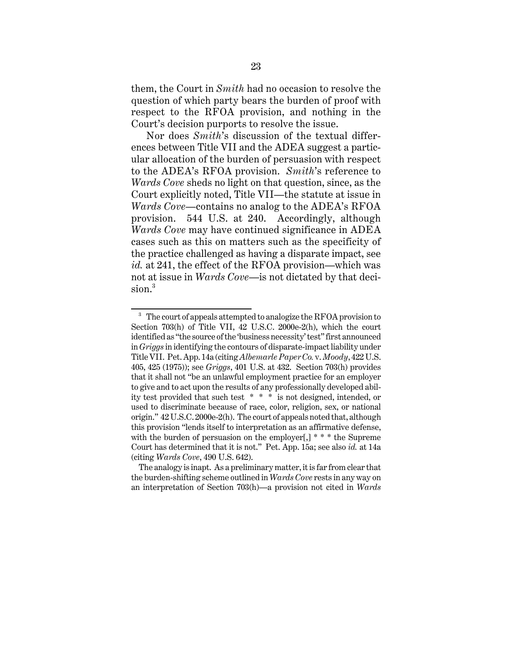them, the Court in *Smith* had no occasion to resolve the question of which party bears the burden of proof with respect to the RFOA provision, and nothing in the Court's decision purports to resolve the issue.

Nor does *Smith*'s discussion of the textual differences between Title VII and the ADEA suggest a particular allocation of the burden of persuasion with respect to the ADEA's RFOA provision. *Smith*'s reference to *Wards Cove* sheds no light on that question, since, as the Court explicitly noted, Title VII—the statute at issue in *Wards Cove*—contains no analog to the ADEA's RFOA provision. 544 U.S. at 240. Accordingly, although *Wards Cove* may have continued significance in ADEA cases such as this on matters such as the specificity of the practice challenged as having a disparate impact, see *id.* at 241, the effect of the RFOA provision—which was not at issue in *Wards Cove*—is not dictated by that decision.<sup>3</sup>

<sup>&</sup>lt;sup>3</sup> The court of appeals attempted to analogize the RFOA provision to Section 703(h) of Title VII, 42 U.S.C. 2000e-2(h), which the court identified as "the source of the 'business necessity' test" first announced in *Griggs* in identifying the contours of disparate-impact liability under Title VII. Pet. App. 14a (citing *Albemarle Paper Co.* v. *Moody*, 422 U.S. 405, 425 (1975)); see *Griggs*, 401 U.S. at 432. Section 703(h) provides that it shall not "be an unlawful employment practice for an employer to give and to act upon the results of any professionally developed ability test provided that such test  $* * *$  is not designed, intended, or used to discriminate because of race, color, religion, sex, or national origin." 42 U.S.C. 2000e-2(h). The court of appeals noted that, although this provision "lends itself to interpretation as an affirmative defense, with the burden of persuasion on the employer[,] \* \* \* the Supreme Court has determined that it is not." Pet. App. 15a; see also *id.* at 14a (citing *Wards Cove*, 490 U.S. 642).

The analogy is inapt. As a preliminary matter, it is far from clear that the burden-shifting scheme outlined in *Wards Cove* rests in any way on an interpretation of Section 703(h)—a provision not cited in *Wards*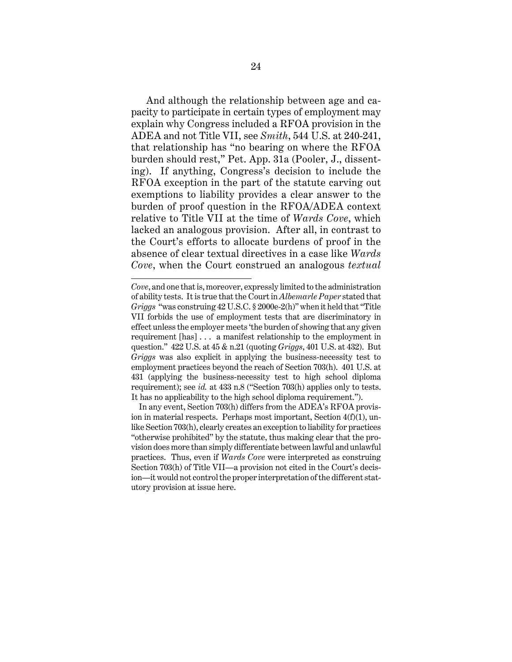And although the relationship between age and capacity to participate in certain types of employment may explain why Congress included a RFOA provision in the ADEA and not Title VII, see *Smith*, 544 U.S. at 240-241, that relationship has "no bearing on where the RFOA burden should rest," Pet. App. 31a (Pooler, J., dissenting). If anything, Congress's decision to include the RFOA exception in the part of the statute carving out exemptions to liability provides a clear answer to the burden of proof question in the RFOA/ADEA context relative to Title VII at the time of *Wards Cove*, which lacked an analogous provision. After all, in contrast to the Court's efforts to allocate burdens of proof in the absence of clear textual directives in a case like *Wards Cove*, when the Court construed an analogous *textual*

*Cove*, and one that is, moreover, expressly limited to the administration of ability tests. It is true that the Court in *Albemarle Paper* stated that *Griggs* "was construing 42 U.S.C. § 2000e-2(h)" when it held that "Title VII forbids the use of employment tests that are discriminatory in effect unless the employer meets 'the burden of showing that any given requirement [has] . . . a manifest relationship to the employment in question." 422 U.S. at 45 & n.21 (quoting *Griggs*, 401 U.S. at 432). But *Griggs* was also explicit in applying the business-necessity test to employment practices beyond the reach of Section 703(h). 401 U.S. at 431 (applying the business-necessity test to high school diploma requirement); see *id.* at 433 n.8 ("Section 703(h) applies only to tests. It has no applicability to the high school diploma requirement.").

In any event, Section 703(h) differs from the ADEA's RFOA provision in material respects. Perhaps most important, Section 4(f)(1), unlike Section 703(h), clearly creates an exception to liability for practices "otherwise prohibited" by the statute, thus making clear that the provision does more than simply differentiate between lawful and unlawful practices. Thus, even if *Wards Cove* were interpreted as construing Section 703(h) of Title VII—a provision not cited in the Court's decision—it would not control the proper interpretation of the different statutory provision at issue here.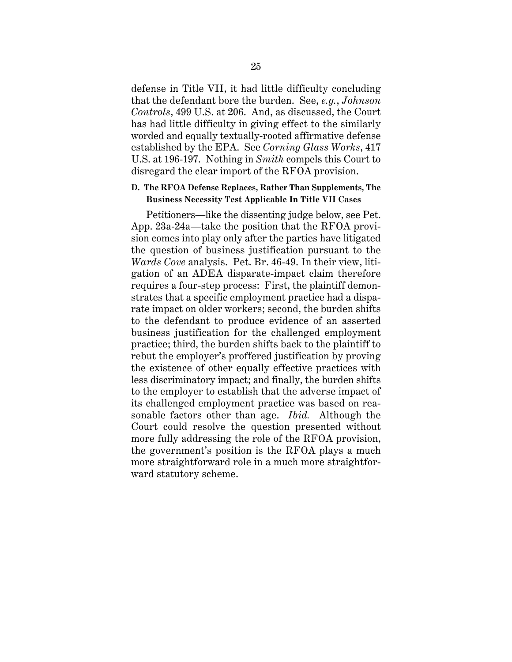defense in Title VII, it had little difficulty concluding that the defendant bore the burden. See, *e.g.*, *Johnson Controls*, 499 U.S. at 206. And, as discussed, the Court has had little difficulty in giving effect to the similarly worded and equally textually-rooted affirmative defense established by the EPA. See *Corning Glass Works*, 417 U.S. at 196-197. Nothing in *Smith* compels this Court to disregard the clear import of the RFOA provision.

#### **D. The RFOA Defense Replaces, Rather Than Supplements, The Business Necessity Test Applicable In Title VII Cases**

Petitioners—like the dissenting judge below, see Pet. App. 23a-24a—take the position that the RFOA provision comes into play only after the parties have litigated the question of business justification pursuant to the *Wards Cove* analysis. Pet. Br. 46-49. In their view, litigation of an ADEA disparate-impact claim therefore requires a four-step process: First, the plaintiff demonstrates that a specific employment practice had a disparate impact on older workers; second, the burden shifts to the defendant to produce evidence of an asserted business justification for the challenged employment practice; third, the burden shifts back to the plaintiff to rebut the employer's proffered justification by proving the existence of other equally effective practices with less discriminatory impact; and finally, the burden shifts to the employer to establish that the adverse impact of its challenged employment practice was based on reasonable factors other than age. *Ibid.* Although the Court could resolve the question presented without more fully addressing the role of the RFOA provision, the government's position is the RFOA plays a much more straightforward role in a much more straightforward statutory scheme.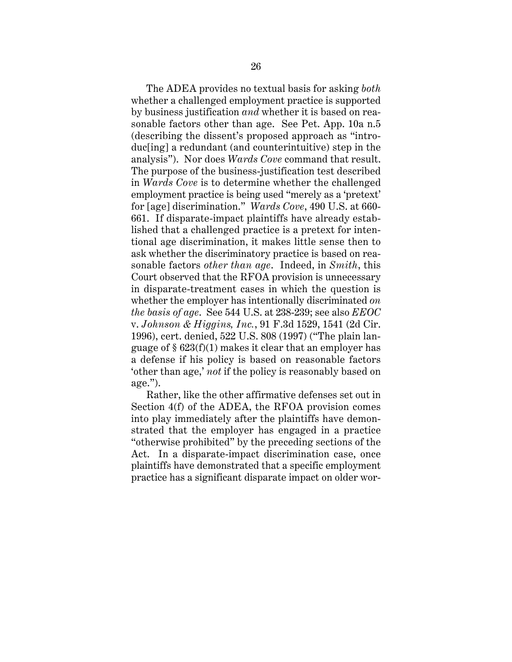The ADEA provides no textual basis for asking *both* whether a challenged employment practice is supported by business justification *and* whether it is based on reasonable factors other than age. See Pet. App. 10a n.5 (describing the dissent's proposed approach as "introduc[ing] a redundant (and counterintuitive) step in the analysis"). Nor does *Wards Cove* command that result. The purpose of the business-justification test described in *Wards Cove* is to determine whether the challenged employment practice is being used "merely as a 'pretext' for [age] discrimination." *Wards Cove*, 490 U.S. at 660- 661. If disparate-impact plaintiffs have already established that a challenged practice is a pretext for intentional age discrimination, it makes little sense then to ask whether the discriminatory practice is based on reasonable factors *other than age*. Indeed, in *Smith*, this Court observed that the RFOA provision is unnecessary in disparate-treatment cases in which the question is whether the employer has intentionally discriminated *on the basis of age*. See 544 U.S. at 238-239; see also *EEOC* v. *Johnson & Higgins, Inc.*, 91 F.3d 1529, 1541 (2d Cir. 1996), cert. denied, 522 U.S. 808 (1997) ("The plain language of § 623(f)(1) makes it clear that an employer has a defense if his policy is based on reasonable factors 'other than age,' *not* if the policy is reasonably based on age.").

Rather, like the other affirmative defenses set out in Section 4(f) of the ADEA, the RFOA provision comes into play immediately after the plaintiffs have demonstrated that the employer has engaged in a practice "otherwise prohibited" by the preceding sections of the Act. In a disparate-impact discrimination case, once plaintiffs have demonstrated that a specific employment practice has a significant disparate impact on older wor-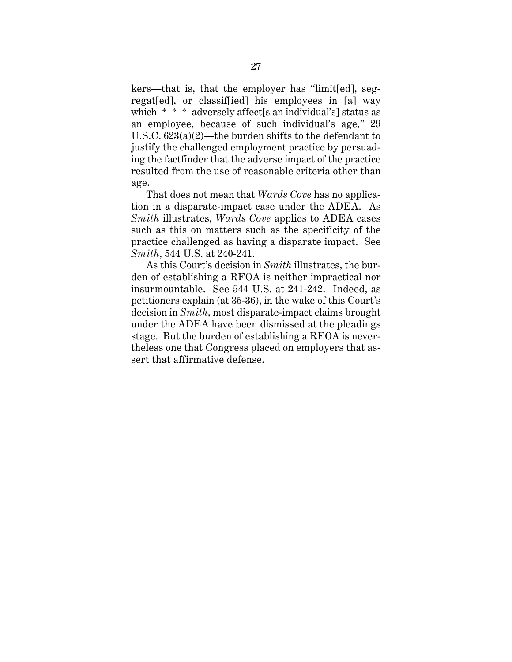kers—that is, that the employer has "limit[ed], segregat[ed], or classif[ied] his employees in [a] way which \* \* \* adversely affect<sup>[s an individual's]</sup> status as an employee, because of such individual's age," 29 U.S.C. 623(a)(2)—the burden shifts to the defendant to justify the challenged employment practice by persuading the factfinder that the adverse impact of the practice resulted from the use of reasonable criteria other than age.

That does not mean that *Wards Cove* has no application in a disparate-impact case under the ADEA. As *Smith* illustrates, *Wards Cove* applies to ADEA cases such as this on matters such as the specificity of the practice challenged as having a disparate impact. See *Smith*, 544 U.S. at 240-241.

As this Court's decision in *Smith* illustrates, the burden of establishing a RFOA is neither impractical nor insurmountable. See 544 U.S. at 241-242. Indeed, as petitioners explain (at 35-36), in the wake of this Court's decision in *Smith*, most disparate-impact claims brought under the ADEA have been dismissed at the pleadings stage. But the burden of establishing a RFOA is nevertheless one that Congress placed on employers that assert that affirmative defense.